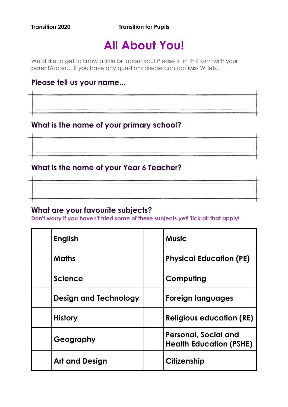**Transition 2020 Transition for Pupils** 

# **All About You!**

We'd like to get to know a little bit about you! Please fill in this form with your parent/carer… If you have any questions please contact Miss Willets.

### **Please tell us your name...**

**What is the name of your primary school?**

### **What is the name of your Year 6 Teacher?**

### **What are your favourite subjects?**

**Don't worry if you haven't tried some of these subjects yet! Tick all that apply!**

| <b>English</b>               | <b>Music</b>                                                  |
|------------------------------|---------------------------------------------------------------|
| <b>Maths</b>                 | <b>Physical Education (PE)</b>                                |
| <b>Science</b>               | Computing                                                     |
| <b>Design and Technology</b> | Foreign languages                                             |
| <b>History</b>               | <b>Religious education (RE)</b>                               |
| Geography                    | <b>Personal, Social and</b><br><b>Health Education (PSHE)</b> |
| <b>Art and Design</b>        | <b>Citizenship</b>                                            |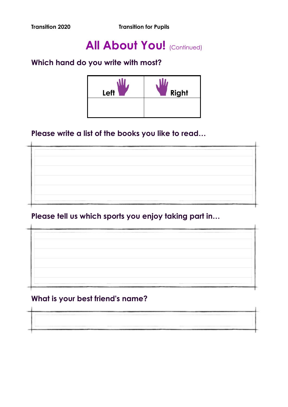**Transition 2020 Transition for Pupils** 

## **All About You! (Continued)**

### **Which hand do you write with most?**



### **Please write a list of the books you like to read…**

**Please tell us which sports you enjoy taking part in…** 

### **What is your best friend's name?**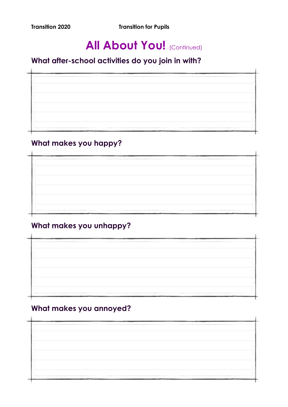**Transition 2020** Transition for Pupils

## **All About You! (Continued)**

### **What after-school activities do you join in with?**

### **What makes you happy?**

### **What makes you unhappy?**

### **What makes you annoyed?**

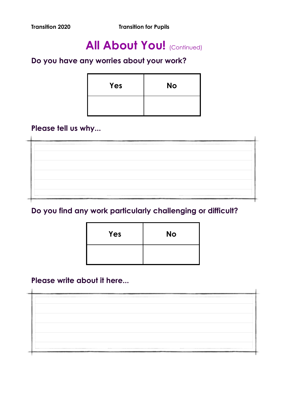## **All About You! (Continued)**

### **Do you have any worries about your work?**

| Yes | <b>No</b> |
|-----|-----------|
|     |           |

### **Please tell us why...**

## **Do you find any work particularly challenging or difficult?**

| Yes | <b>No</b> |
|-----|-----------|
|     |           |

### **Please write about it here...**